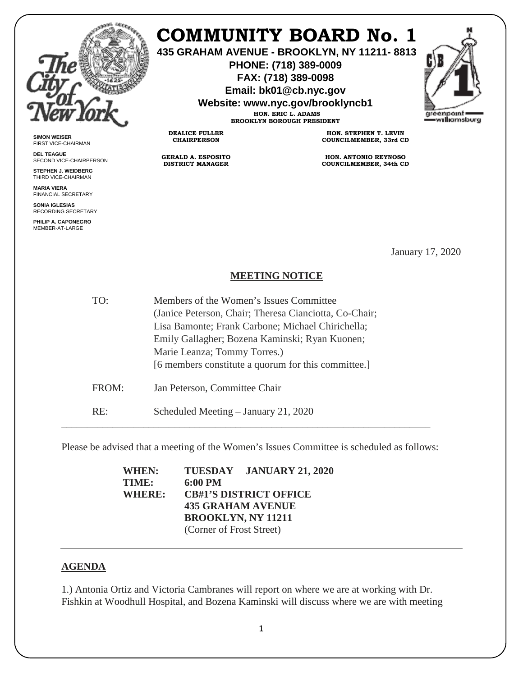

**SIMON WEISER** FIRST VICE-CHAIRMAN **DEL TEAGUE**

SECOND VICE-CHAIRPERSON **STEPHEN J. WEIDBERG** THIRD VICE-CHAIRMAN **MARIA VIERA** FINANCIAL SECRETARY **SONIA IGLESIAS** RECORDING SECRETARY **PHILIP A. CAPONEGRO** MEMBER-AT-LARGE

## **COMMUNITY BOARD No. 1**

**435 GRAHAM AVENUE - BROOKLYN, NY 11211- 8813**

**PHONE: (718) 389-0009 FAX: (718) 389-0098**

**Email: bk01@cb.nyc.gov**

**Website: www.nyc.gov/brooklyncb1**

**HON. ERIC L. ADAMS BROOKLYN BOROUGH PRESIDENT**

**DEALICE FULLER CHAIRPERSON**

**GERALD A. ESPOSITO DISTRICT MANAGER**

**HON. STEPHEN T. LEVIN COUNCILMEMBER, 33rd CD**

**HON. ANTONIO REYNOSO COUNCILMEMBER, 34th CD**

January 17, 2020

## **MEETING NOTICE**

TO: Members of the Women's Issues Committee (Janice Peterson, Chair; Theresa Cianciotta, Co-Chair; Lisa Bamonte; Frank Carbone; Michael Chirichella; Emily Gallagher; Bozena Kaminski; Ryan Kuonen; Marie Leanza; Tommy Torres.) [6 members constitute a quorum for this committee.] FROM: Jan Peterson, Committee Chair RE: Scheduled Meeting – January 21, 2020

Please be advised that a meeting of the Women's Issues Committee is scheduled as follows:

\_\_\_\_\_\_\_\_\_\_\_\_\_\_\_\_\_\_\_\_\_\_\_\_\_\_\_\_\_\_\_\_\_\_\_\_\_\_\_\_\_\_\_\_\_\_\_\_\_\_\_\_\_\_\_\_\_\_\_\_\_\_\_\_\_\_\_\_\_\_\_\_

**WHEN: TUESDAY JANUARY 21, 2020 TIME: 6:00 PM WHERE: CB#1'S DISTRICT OFFICE 435 GRAHAM AVENUE BROOKLYN, NY 11211** (Corner of Frost Street)

## **AGENDA**

1.) Antonia Ortiz and Victoria Cambranes will report on where we are at working with Dr. Fishkin at Woodhull Hospital, and Bozena Kaminski will discuss where we are with meeting